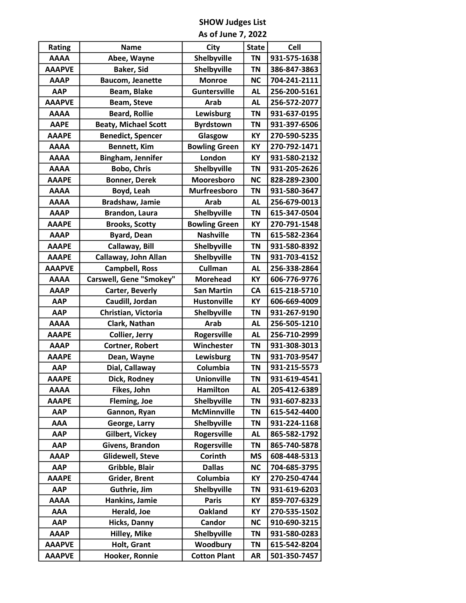## SHOW Judges List

|  |  |  |  | As of June 7, 2022 |
|--|--|--|--|--------------------|
|--|--|--|--|--------------------|

|                                                                       | <b>Rating</b> | <b>Name</b>                 | City                 | <b>State</b> | <b>Cell</b>  |
|-----------------------------------------------------------------------|---------------|-----------------------------|----------------------|--------------|--------------|
| <b>AAAA</b>                                                           |               | Abee, Wayne                 | Shelbyville          | <b>TN</b>    | 931-575-1638 |
| <b>AAAPVE</b>                                                         |               | <b>Baker, Sid</b>           | Shelbyville          | ΤN           | 386-847-3863 |
| <b>AAAP</b>                                                           |               | <b>Baucom, Jeanette</b>     | <b>Monroe</b>        | <b>NC</b>    | 704-241-2111 |
|                                                                       | <b>AAP</b>    | Beam, Blake                 | <b>Guntersville</b>  | <b>AL</b>    | 256-200-5161 |
|                                                                       | <b>AAAPVE</b> | <b>Beam, Steve</b>          | <b>Arab</b>          | AL           | 256-572-2077 |
|                                                                       | <b>AAAA</b>   | <b>Beard, Rollie</b>        | Lewisburg            | ΤN           | 931-637-0195 |
|                                                                       | <b>AAPE</b>   | <b>Beaty, Michael Scott</b> | <b>Byrdstown</b>     | <b>TN</b>    | 931-397-6506 |
|                                                                       | <b>AAAPE</b>  | <b>Benedict, Spencer</b>    | Glasgow              | KY           | 270-590-5235 |
|                                                                       | <b>AAAA</b>   | Bennett, Kim                | <b>Bowling Green</b> | KY           | 270-792-1471 |
|                                                                       | <b>AAAA</b>   | Bingham, Jennifer           | London               | KY           | 931-580-2132 |
|                                                                       | <b>AAAA</b>   | <b>Bobo, Chris</b>          | Shelbyville          | ΤN           | 931-205-2626 |
|                                                                       | <b>AAAPE</b>  | <b>Bonner, Derek</b>        | Mooresboro           | <b>NC</b>    | 828-289-2300 |
|                                                                       | <b>AAAA</b>   | Boyd, Leah                  | <b>Murfreesboro</b>  | ΤN           | 931-580-3647 |
|                                                                       | <b>AAAA</b>   | <b>Bradshaw, Jamie</b>      | <b>Arab</b>          | <b>AL</b>    | 256-679-0013 |
|                                                                       | <b>AAAP</b>   | <b>Brandon, Laura</b>       | Shelbyville          | <b>TN</b>    | 615-347-0504 |
|                                                                       | <b>AAAPE</b>  | <b>Brooks, Scotty</b>       | <b>Bowling Green</b> | KY           | 270-791-1548 |
|                                                                       | <b>AAAP</b>   | <b>Byard, Dean</b>          | <b>Nashville</b>     | ΤN           | 615-582-2364 |
|                                                                       | <b>AAAPE</b>  | Callaway, Bill              | Shelbyville          | ΤN           | 931-580-8392 |
|                                                                       | <b>AAAPE</b>  | Callaway, John Allan        | Shelbyville          | <b>TN</b>    | 931-703-4152 |
|                                                                       | <b>AAAPVE</b> | <b>Campbell, Ross</b>       | <b>Cullman</b>       | <b>AL</b>    | 256-338-2864 |
|                                                                       | <b>AAAA</b>   | Carswell, Gene "Smokey"     | <b>Morehead</b>      | KY           | 606-776-9776 |
|                                                                       | <b>AAAP</b>   | Carter, Beverly             | <b>San Martin</b>    | CA           | 615-218-5710 |
|                                                                       | <b>AAP</b>    | Caudill, Jordan             | <b>Hustonville</b>   | KY           | 606-669-4009 |
|                                                                       | <b>AAP</b>    | Christian, Victoria         | Shelbyville          | ΤN           | 931-267-9190 |
|                                                                       | <b>AAAA</b>   | Clark, Nathan               | <b>Arab</b>          | <b>AL</b>    | 256-505-1210 |
|                                                                       | <b>AAAPE</b>  | <b>Collier, Jerry</b>       | <b>Rogersville</b>   | <b>AL</b>    | 256-710-2999 |
|                                                                       | <b>AAAP</b>   | Cortner, Robert             | Winchester           | <b>TN</b>    | 931-308-3013 |
| <b>AAAPE</b>                                                          |               | Dean, Wayne                 | Lewisburg            | <b>TN</b>    | 931-703-9547 |
|                                                                       | AAP           | Dial, Callaway              | Columbia             | ΤN           | 931-215-5573 |
|                                                                       | <b>AAAPE</b>  | Dick, Rodney                | <b>Unionville</b>    | ΤN           | 931-619-4541 |
|                                                                       | <b>AAAA</b>   | Fikes, John                 | Hamilton             | AL           | 205-412-6389 |
|                                                                       | <b>AAAPE</b>  | Fleming, Joe                | Shelbyville          | <b>TN</b>    | 931-607-8233 |
|                                                                       | <b>AAP</b>    | Gannon, Ryan                | <b>McMinnville</b>   | ΤN           | 615-542-4400 |
|                                                                       | <b>AAA</b>    | George, Larry               | Shelbyville          | ΤN           | 931-224-1168 |
|                                                                       | <b>AAP</b>    | Gilbert, Vickey             | <b>Rogersville</b>   | <b>AL</b>    | 865-582-1792 |
|                                                                       | <b>AAP</b>    | Givens, Brandon             | <b>Rogersville</b>   | ΤN           | 865-740-5878 |
|                                                                       | <b>AAAP</b>   | Glidewell, Steve            | Corinth              | ΜS           | 608-448-5313 |
| <b>AAP</b><br><b>AAAPE</b><br><b>AAP</b><br><b>AAAA</b><br><b>AAA</b> |               | Gribble, Blair              | <b>Dallas</b>        | <b>NC</b>    | 704-685-3795 |
|                                                                       |               | Grider, Brent               | Columbia             | ΚY           | 270-250-4744 |
|                                                                       |               | Guthrie, Jim                | Shelbyville          | ΤN           | 931-619-6203 |
|                                                                       |               | Hankins, Jamie              | <b>Paris</b>         | КY           | 859-707-6329 |
|                                                                       |               | Herald, Joe                 | <b>Oakland</b>       | ΚY           | 270-535-1502 |
|                                                                       | <b>AAP</b>    | <b>Hicks, Danny</b>         | <b>Candor</b>        | <b>NC</b>    | 910-690-3215 |
|                                                                       | <b>AAAP</b>   | Hilley, Mike                | Shelbyville          | ΤN           | 931-580-0283 |
|                                                                       | <b>AAAPVE</b> | Holt, Grant                 | Woodbury             | ΤN           | 615-542-8204 |
|                                                                       | <b>AAAPVE</b> | Hooker, Ronnie              | <b>Cotton Plant</b>  | AR           | 501-350-7457 |